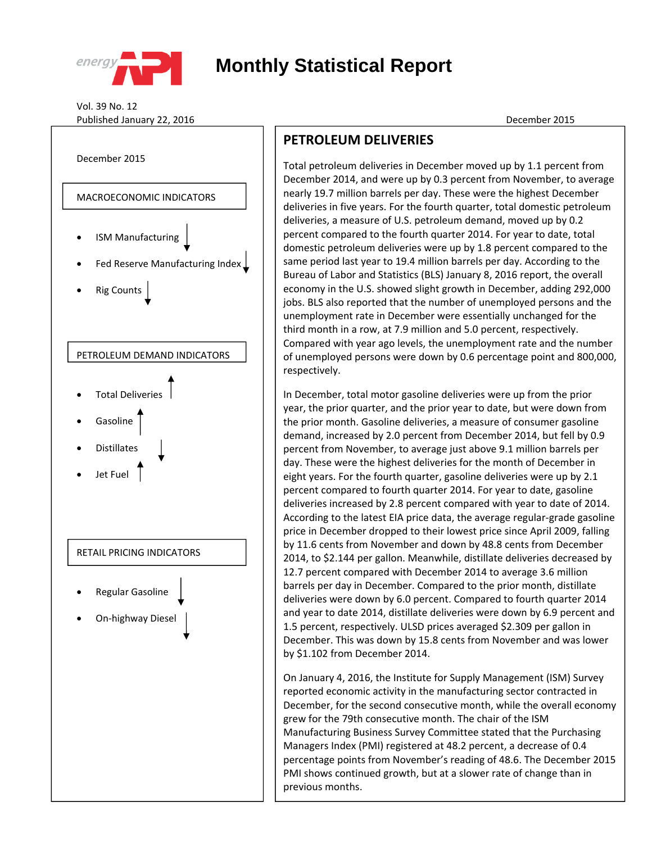

## **Monthly Statistical Report**

Vol. 39 No. 12 Published January 22, 2016 December 2015



## **PETROLEUM DELIVERIES**

Total petroleum deliveries in December moved up by 1.1 percent from December 2014, and were up by 0.3 percent from November, to average nearly 19.7 million barrels per day. These were the highest December deliveries in five years. For the fourth quarter, total domestic petroleum<br>
and the liveries in five years. For the fourth quarter, total domestic petroleum deliveries, a measure of U.S. petroleum demand, moved up by 0.2 percent compared to the fourth quarter 2014. For year to date, total domestic petroleum deliveries were up by 1.8 percent compared to the same period last year to 19.4 million barrels per day. According to the **Bureau of Labor and Statistics (BLS) January 8, 2016 report, the overall** economy in the U.S. showed slight growth in December, adding 292,000  $\bigstar$   $\big|$  jobs. BLS also reported that the number of unemployed persons and the unemployment rate in December were essentially unchanged for the third month in a row, at 7.9 million and 5.0 percent, respectively. Compared with year ago levels, the unemployment rate and the number of unemployed persons were down by 0.6 percentage point and 800,000, respectively.

> In December, total motor gasoline deliveries were up from the prior year, the prior quarter, and the prior year to date, but were down from the prior month. Gasoline deliveries, a measure of consumer gasoline demand, increased by 2.0 percent from December 2014, but fell by 0.9 percent from November, to average just above 9.1 million barrels per day. These were the highest deliveries for the month of December in eight years. For the fourth quarter, gasoline deliveries were up by 2.1 percent compared to fourth quarter 2014. For year to date, gasoline deliveries increased by 2.8 percent compared with year to date of 2014. According to the latest EIA price data, the average regular‐grade gasoline price in December dropped to their lowest price since April 2009, falling by 11.6 cents from November and down by 48.8 cents from December 2014, to \$2.144 per gallon. Meanwhile, distillate deliveries decreased by 12.7 percent compared with December 2014 to average 3.6 million barrels per day in December. Compared to the prior month, distillate deliveries were down by 6.0 percent. Compared to fourth quarter 2014 and year to date 2014, distillate deliveries were down by 6.9 percent and 1.5 percent, respectively. ULSD prices averaged \$2.309 per gallon in December. This was down by 15.8 cents from November and was lower by \$1.102 from December 2014.

On January 4, 2016, the Institute for Supply Management (ISM) Survey reported economic activity in the manufacturing sector contracted in December, for the second consecutive month, while the overall economy grew for the 79th consecutive month. The chair of the ISM Manufacturing Business Survey Committee stated that the Purchasing Managers Index (PMI) registered at 48.2 percent, a decrease of 0.4 percentage points from November's reading of 48.6. The December 2015 PMI shows continued growth, but at a slower rate of change than in previous months.